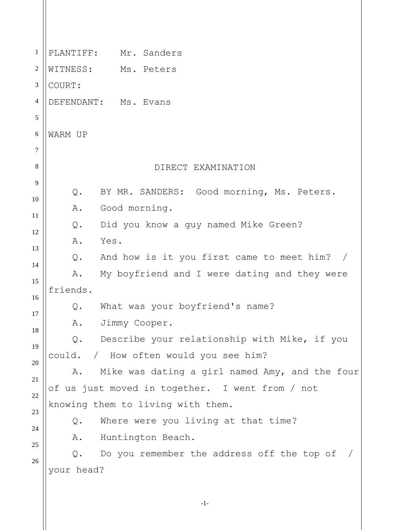| 1              | PLANTIFF:<br>Mr. Sanders                             |
|----------------|------------------------------------------------------|
| $\overline{2}$ | WITNESS:<br>Ms. Peters                               |
| 3              | COURT:                                               |
| $\overline{4}$ | DEFENDANT: Ms. Evans                                 |
| 5              |                                                      |
| 6              | WARM UP                                              |
| $\overline{7}$ |                                                      |
| 8              | DIRECT EXAMINATION                                   |
| 9              | BY MR. SANDERS: Good morning, Ms. Peters.<br>Q.      |
| 10             | Α.<br>Good morning.                                  |
| 11             | Did you know a guy named Mike Green?<br>Q.           |
| 12             | Yes.<br>Α.                                           |
| 13             | And how is it you first came to meet him? /<br>Q.    |
| 14             | My boyfriend and I were dating and they were<br>Α.   |
|                | friends.                                             |
|                | What was your boyfriend's name?<br>Q.                |
|                | Jimmy Cooper.<br>Α.                                  |
| 18             | Describe your relationship with Mike, if you<br>Q.   |
|                | / How often would you see him?<br>could.             |
|                | Mike was dating a girl named Amy, and the four<br>Α. |
| 21             | of us just moved in together. I went from / not      |
| 22             | knowing them to living with them.                    |
| 23             | Where were you living at that time?<br>Q.            |
| 24             | Huntington Beach.<br>Α.                              |
| 25             | Do you remember the address off the top of<br>$Q$ .  |
| 26             | your head?                                           |
|                |                                                      |
|                |                                                      |

-1-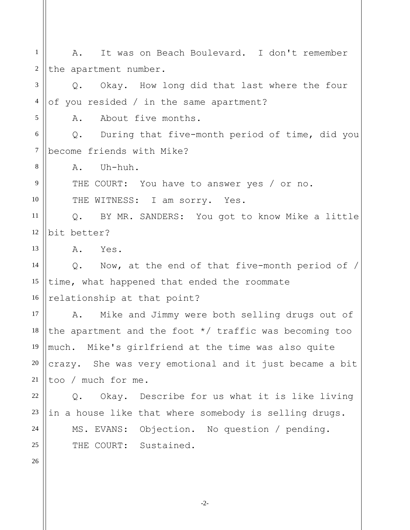1 2 3 4 5 6 7 8 9 10 11 12 13 14 15 16 17 18 19 20 21 22 23 24 25 26 A. It was on Beach Boulevard. I don't remember the apartment number. Q. Okay. How long did that last where the four of you resided / in the same apartment? A. About five months. Q. During that five-month period of time, did you become friends with Mike? A. Uh-huh. THE COURT: You have to answer yes / or no. THE WITNESS: I am sorry. Yes. Q. BY MR. SANDERS: You got to know Mike a little bit better? A. Yes. Q. Now, at the end of that five-month period of / time, what happened that ended the roommate relationship at that point? A. Mike and Jimmy were both selling drugs out of the apartment and the foot \*/ traffic was becoming too much. Mike's girlfriend at the time was also quite crazy. She was very emotional and it just became a bit too / much for me. Q. Okay. Describe for us what it is like living in a house like that where somebody is selling drugs. MS. EVANS: Objection. No question / pending. THE COURT: Sustained.

-2-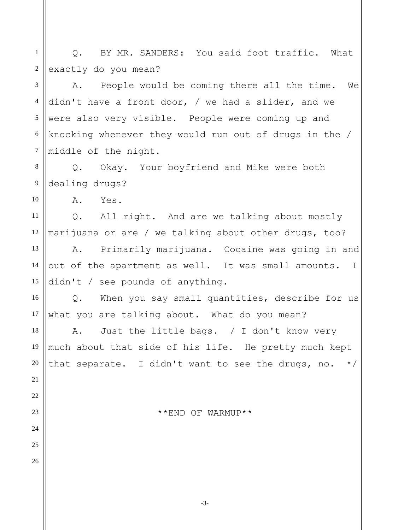1 2 3 4 5 6 7 8 9 10 11 12 13 14 15 16 17 18 19 20 21 22 23 24 25 26 Q. BY MR. SANDERS: You said foot traffic. What exactly do you mean? A. People would be coming there all the time. We didn't have a front door, / we had a slider, and we were also very visible. People were coming up and knocking whenever they would run out of drugs in the / middle of the night. Q. Okay. Your boyfriend and Mike were both dealing drugs? A. Yes. Q. All right. And are we talking about mostly marijuana or are / we talking about other drugs, too? A. Primarily marijuana. Cocaine was going in and out of the apartment as well. It was small amounts. I didn't / see pounds of anything. Q. When you say small quantities, describe for us what you are talking about. What do you mean? A. Just the little bags. / I don't know very much about that side of his life. He pretty much kept that separate. I didn't want to see the drugs, no.  $*/$ \*\*END OF WARMUP\*\*

-3-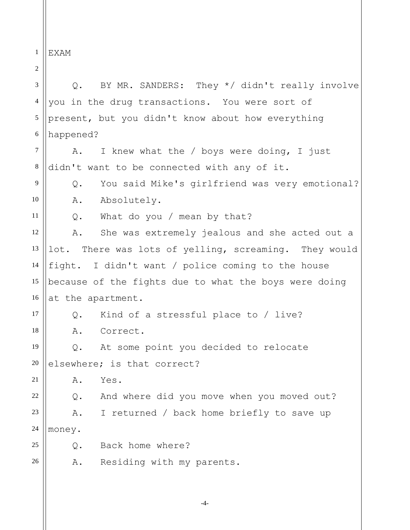1 EXAM

2

3 4 5 6 7 8 9 10 11 12 13 14 15 16 17 18 19 20 21 22 23 24 25 26 Q. BY MR. SANDERS: They \*/ didn't really involve you in the drug transactions. You were sort of present, but you didn't know about how everything happened? A. I knew what the / boys were doing, I just didn't want to be connected with any of it. Q. You said Mike's girlfriend was very emotional? A. Absolutely. Q. What do you / mean by that? A. She was extremely jealous and she acted out a lot. There was lots of yelling, screaming. They would fight. I didn't want / police coming to the house because of the fights due to what the boys were doing at the apartment. Q. Kind of a stressful place to / live? A. Correct. Q. At some point you decided to relocate elsewhere; is that correct? A. Yes. Q. And where did you move when you moved out? A. I returned / back home briefly to save up money. Q. Back home where? A. Residing with my parents.

-4-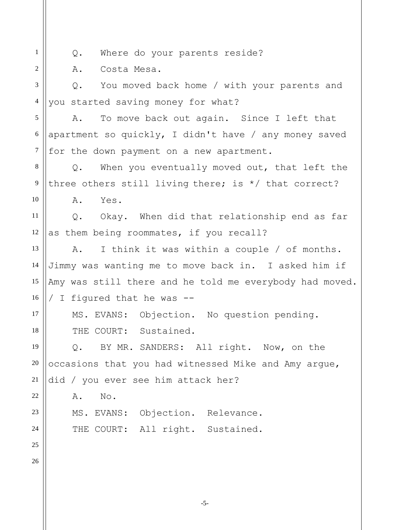| $\mathbf{1}$             | Where do your parents reside?<br>Q.                     |
|--------------------------|---------------------------------------------------------|
| $\overline{2}$           | Costa Mesa.<br>Α.                                       |
| 3                        | Q. You moved back home / with your parents and          |
| $\overline{\mathcal{A}}$ | you started saving money for what?                      |
| 5                        | To move back out again. Since I left that<br>Α.         |
| $6\,$                    | apartment so quickly, I didn't have / any money saved   |
| $\overline{7}$           | for the down payment on a new apartment.                |
| 8                        | Q. When you eventually moved out, that left the         |
| 9                        | three others still living there; is */ that correct?    |
| 10                       | A.<br>Yes.                                              |
| 11                       | Q. Okay. When did that relationship end as far          |
| 12                       | as them being roommates, if you recall?                 |
| 13                       | I think it was within a couple / of months.<br>A.       |
| 14                       | Jimmy was wanting me to move back in. I asked him if    |
| 15                       | Amy was still there and he told me everybody had moved. |
| 16                       | I figured that he was --                                |
| 17                       | MS. EVANS: Objection. No question pending.              |
| 18                       | THE COURT: Sustained.                                   |
| 19                       | BY MR. SANDERS: All right. Now, on the<br>Q.            |
| $20\,$                   | occasions that you had witnessed Mike and Amy argue,    |
| 21                       | did / you ever see him attack her?                      |
| $22\,$                   | No.<br>Α.                                               |
| 23                       | MS. EVANS: Objection. Relevance.                        |
| 24                       | THE COURT: All right. Sustained.                        |
| 25                       |                                                         |
| 26                       |                                                         |
|                          |                                                         |
|                          |                                                         |

-5-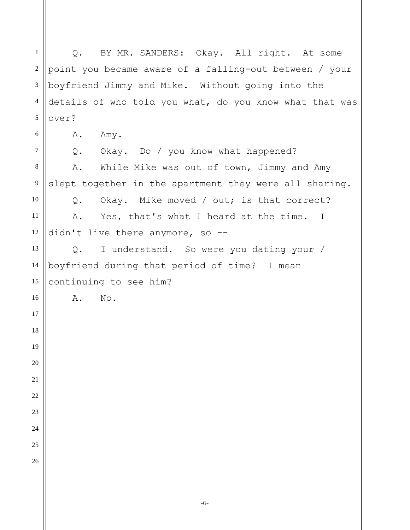Q. BY MR. SANDERS: Okay. All right. At some point you became aware of a falling-out between / your boyfriend Jimmy and Mike. Without going into the details of who told you what, do you know what that was over? A. Amy. Q. Okay. Do / you know what happened? A. While Mike was out of town, Jimmy and Amy slept together in the apartment they were all sharing. Q. Okay. Mike moved / out; is that correct? A. Yes, that's what I heard at the time. I didn't live there anymore, so --Q. I understand. So were you dating your / boyfriend during that period of time? I mean continuing to see him? A. No.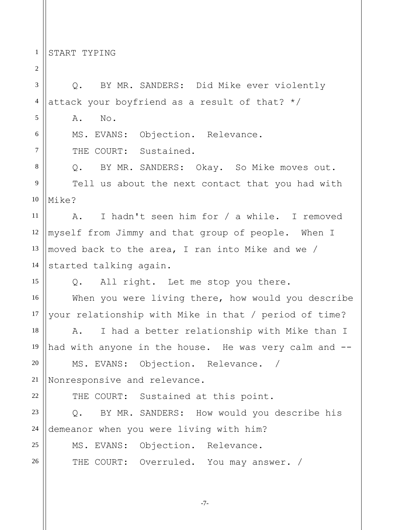1 START TYPING

2

3 4 5 6 7 8 9 10 11 12 13 14 15 16 17 18 19 20 21 22 23 24 25 26 Q. BY MR. SANDERS: Did Mike ever violently attack your boyfriend as a result of that? \*/ A. No. MS. EVANS: Objection. Relevance. THE COURT: Sustained. Q. BY MR. SANDERS: Okay. So Mike moves out. Tell us about the next contact that you had with Mike? A. I hadn't seen him for / a while. I removed myself from Jimmy and that group of people. When I moved back to the area, I ran into Mike and we / started talking again. Q. All right. Let me stop you there. When you were living there, how would you describe your relationship with Mike in that / period of time? A. I had a better relationship with Mike than I had with anyone in the house. He was very calm and --MS. EVANS: Objection. Relevance. Nonresponsive and relevance. THE COURT: Sustained at this point. Q. BY MR. SANDERS: How would you describe his demeanor when you were living with him? MS. EVANS: Objection. Relevance. THE COURT: Overruled. You may answer. /

-7-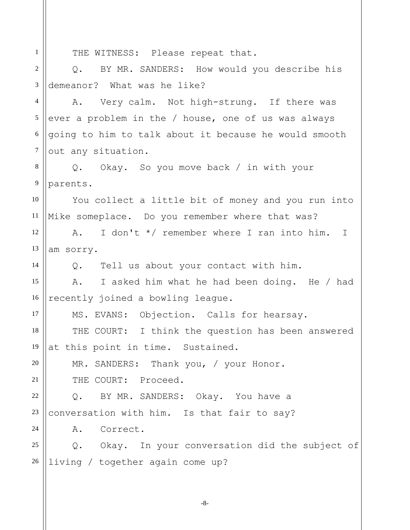1 2 3 4 5 6 7 8 9 10 11 12 13 14 15 16 17 18 19 20 21 22 23 24 25 26 THE WITNESS: Please repeat that. Q. BY MR. SANDERS: How would you describe his demeanor? What was he like? A. Very calm. Not high-strung. If there was ever a problem in the / house, one of us was always going to him to talk about it because he would smooth out any situation. Q. Okay. So you move back / in with your parents. You collect a little bit of money and you run into Mike someplace. Do you remember where that was? A. I don't \*/ remember where I ran into him. I am sorry. Q. Tell us about your contact with him. A. I asked him what he had been doing. He / had recently joined a bowling league. MS. EVANS: Objection. Calls for hearsay. THE COURT: I think the question has been answered at this point in time. Sustained. MR. SANDERS: Thank you, / your Honor. THE COURT: Proceed. Q. BY MR. SANDERS: Okay. You have a conversation with him. Is that fair to say? A. Correct. Q. Okay. In your conversation did the subject of living / together again come up?

-8-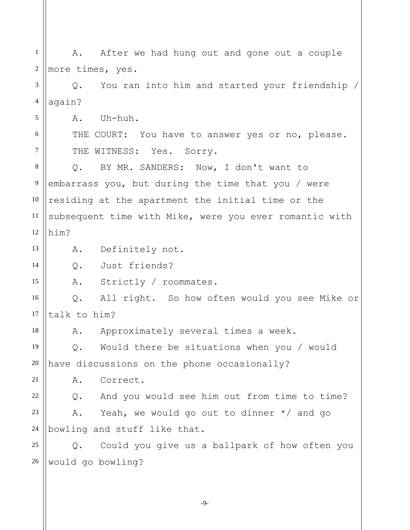1 2 3 4 5 6 7 8 9 10 11 12 13 14 15 16 17 18 19 20 21 22 23 24 25 26 A. After we had hung out and gone out a couple more times, yes. Q. You ran into him and started your friendship / again? A. Uh-huh. THE COURT: You have to answer yes or no, please. THE WITNESS: Yes. Sorry. Q. BY MR. SANDERS: Now, I don't want to embarrass you, but during the time that you / were residing at the apartment the initial time or the subsequent time with Mike, were you ever romantic with him? A. Definitely not. Q. Just friends? A. Strictly / roommates. Q. All right. So how often would you see Mike or talk to him? A. Approximately several times a week. Q. Would there be situations when you / would have discussions on the phone occasionally? A. Correct. Q. And you would see him out from time to time? A. Yeah, we would go out to dinner \*/ and go bowling and stuff like that. Q. Could you give us a ballpark of how often you would go bowling?

-9-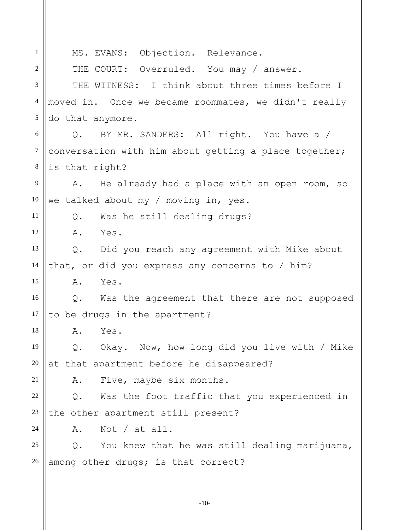1 2 3 4 5 6 7 8 9 10 11 12 13 14 15 16 17 18 19 20 21 22 23 24 25 26 MS. EVANS: Objection. Relevance. THE COURT: Overruled. You may / answer. THE WITNESS: I think about three times before I moved in. Once we became roommates, we didn't really do that anymore. Q. BY MR. SANDERS: All right. You have a / conversation with him about getting a place together; is that right? A. He already had a place with an open room, so we talked about my / moving in, yes. Q. Was he still dealing drugs? A. Yes. Q. Did you reach any agreement with Mike about that, or did you express any concerns to / him? A. Yes. Q. Was the agreement that there are not supposed to be drugs in the apartment? A. Yes. Q. Okay. Now, how long did you live with / Mike at that apartment before he disappeared? A. Five, maybe six months. Q. Was the foot traffic that you experienced in the other apartment still present? A. Not / at all. Q. You knew that he was still dealing marijuana, among other drugs; is that correct?

-10-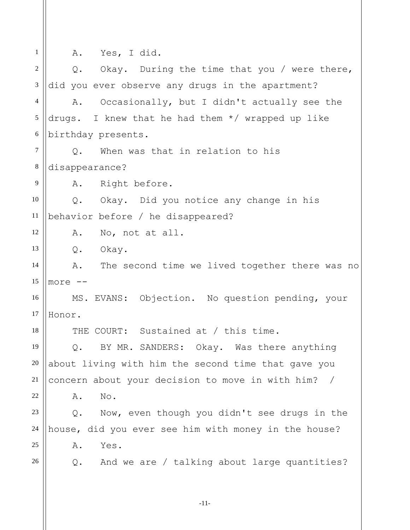| $\mathbf{1}$   | A. Yes, I did.                                        |
|----------------|-------------------------------------------------------|
| 2              | Okay. During the time that you / were there,<br>$Q$ . |
| $\mathfrak{Z}$ | did you ever observe any drugs in the apartment?      |
| $\overline{4}$ | Occasionally, but I didn't actually see the<br>Α.     |
| 5              | drugs. I knew that he had them $*/$ wrapped up like   |
| 6              | birthday presents.                                    |
| $\tau$         | Q. When was that in relation to his                   |
| $\,8\,$        | disappearance?                                        |
| 9              | A. Right before.                                      |
| 10             | Q. Okay. Did you notice any change in his             |
| 11             | behavior before / he disappeared?                     |
| 12             | A. No, not at all.                                    |
| 13             | Q. Okay.                                              |
| 14             | A. The second time we lived together there was no     |
| 15             | $more --$                                             |
| 16             | MS. EVANS: Objection. No question pending, your       |
| 17             | Honor.                                                |
| 18             | THE COURT: Sustained at / this time.                  |
| 19             | BY MR. SANDERS: Okay. Was there anything<br>Q.        |
| 20             | about living with him the second time that gave you   |
| 21             | concern about your decision to move in with him? /    |
| 22             | No.<br>Α.                                             |
| 23             | Now, even though you didn't see drugs in the<br>$Q$ . |
| 24             | house, did you ever see him with money in the house?  |
| 25             | Yes.<br>Α.                                            |
| 26             | And we are / talking about large quantities?<br>Q.    |
|                |                                                       |
|                | $-11-$                                                |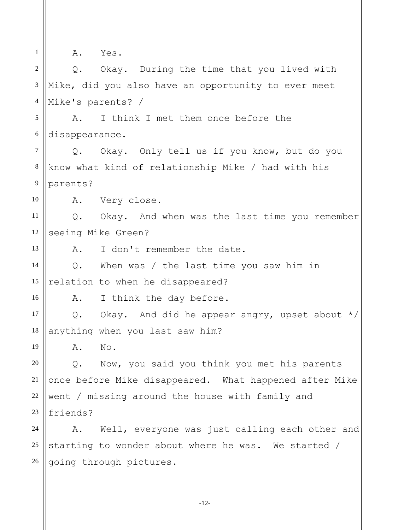| $\mathbf{1}$   |                | A. Yes.                                                |
|----------------|----------------|--------------------------------------------------------|
| $\overline{2}$ |                | Q. Okay. During the time that you lived with           |
| $\mathfrak{Z}$ |                | Mike, did you also have an opportunity to ever meet    |
| $\overline{4}$ |                | Mike's parents? /                                      |
| 5              | Α.             | I think I met them once before the                     |
| 6              | disappearance. |                                                        |
| $\tau$         | $Q$ .          | Okay. Only tell us if you know, but do you             |
| 8              |                | know what kind of relationship Mike / had with his     |
| 9              | parents?       |                                                        |
| 10             |                | A. Very close.                                         |
| 11             | $Q$ .          | Okay. And when was the last time you remember          |
| 12             |                | seeing Mike Green?                                     |
| 13             | Α.             | I don't remember the date.                             |
| 14             | $Q$ .          | When was / the last time you saw him in                |
| 15             |                | relation to when he disappeared?                       |
| 16             | Α.             | I think the day before.                                |
| 17             |                | Q. Okay. And did he appear angry, upset about $*/$     |
| 18             |                | anything when you last saw him?                        |
| 19             | Α.             | No.                                                    |
| 20             | $Q$ .          | Now, you said you think you met his parents            |
| 21             |                | once before Mike disappeared. What happened after Mike |
| 22             |                | went / missing around the house with family and        |
| 23             | friends?       |                                                        |
| 24             | Α.             | Well, everyone was just calling each other and         |
| 25             |                | starting to wonder about where he was. We started /    |
| 26             |                | going through pictures.                                |
|                |                |                                                        |

-12-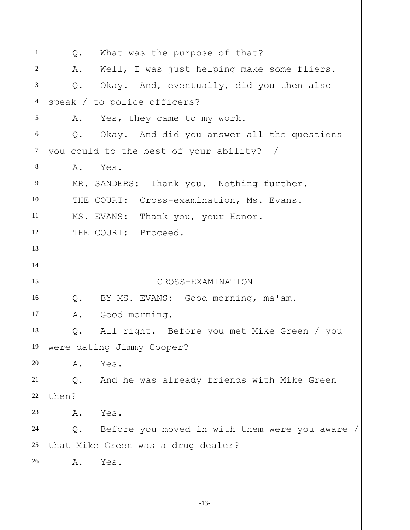1 2 3 4 5 6 7 8 9 10 11 12 13 14 15 16 17 18 19 20 21 22 23 24 25 26 Q. What was the purpose of that? A. Well, I was just helping make some fliers. Q. Okay. And, eventually, did you then also speak / to police officers? A. Yes, they came to my work. Q. Okay. And did you answer all the questions you could to the best of your ability? / A. Yes. MR. SANDERS: Thank you. Nothing further. THE COURT: Cross-examination, Ms. Evans. MS. EVANS: Thank you, your Honor. THE COURT: Proceed. CROSS-EXAMINATION Q. BY MS. EVANS: Good morning, ma'am. A. Good morning. Q. All right. Before you met Mike Green / you were dating Jimmy Cooper? A. Yes. Q. And he was already friends with Mike Green then? A. Yes. Q. Before you moved in with them were you aware / that Mike Green was a drug dealer? A. Yes.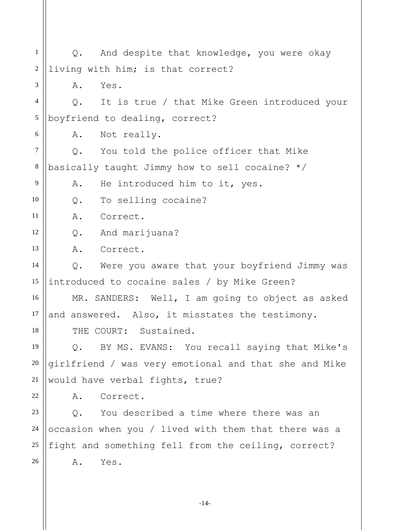1 2 3 4 5 6 7 8 9 10 11 12 13 14 15 16 17 18 19 20 21 22 23 24 25 26 Q. And despite that knowledge, you were okay living with him; is that correct? A. Yes. Q. It is true / that Mike Green introduced your boyfriend to dealing, correct? A. Not really. Q. You told the police officer that Mike basically taught Jimmy how to sell cocaine? \*/ A. He introduced him to it, yes. Q. To selling cocaine? A. Correct. Q. And marijuana? A. Correct. Q. Were you aware that your boyfriend Jimmy was introduced to cocaine sales / by Mike Green? MR. SANDERS: Well, I am going to object as asked and answered. Also, it misstates the testimony. THE COURT: Sustained. Q. BY MS. EVANS: You recall saying that Mike's girlfriend / was very emotional and that she and Mike would have verbal fights, true? A. Correct. Q. You described a time where there was an occasion when you / lived with them that there was a fight and something fell from the ceiling, correct? A. Yes.

-14-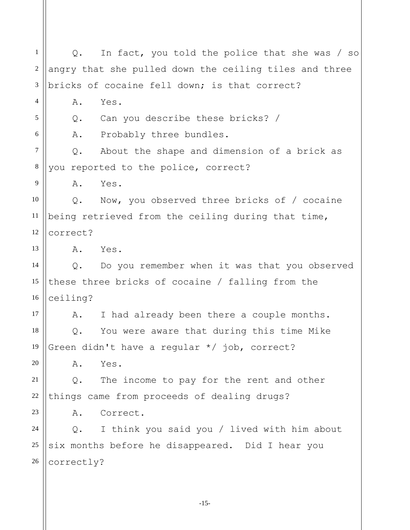1 2 3 4 5 6 7 8 9 10 11 12 13 14 15 16 17 18 19 20 21 22 23 24 25 26 Q. In fact, you told the police that she was / so angry that she pulled down the ceiling tiles and three bricks of cocaine fell down; is that correct? A. Yes. Q. Can you describe these bricks? / A. Probably three bundles. Q. About the shape and dimension of a brick as you reported to the police, correct? A. Yes. Q. Now, you observed three bricks of / cocaine being retrieved from the ceiling during that time, correct? A. Yes. Q. Do you remember when it was that you observed these three bricks of cocaine / falling from the ceiling? A. I had already been there a couple months. Q. You were aware that during this time Mike Green didn't have a regular \*/ job, correct? A. Yes. Q. The income to pay for the rent and other things came from proceeds of dealing drugs? A. Correct. Q. I think you said you / lived with him about six months before he disappeared. Did I hear you correctly?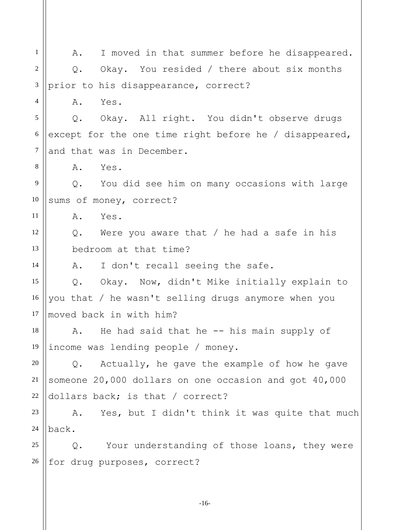| 1              | I moved in that summer before he disappeared.<br>A.           |
|----------------|---------------------------------------------------------------|
| 2              | Okay. You resided / there about six months<br>Q.              |
| $\mathfrak{Z}$ | prior to his disappearance, correct?                          |
| $\overline{4}$ | Α.<br>Yes.                                                    |
| 5              | Okay. All right. You didn't observe drugs<br>Q.               |
| 6              | except for the one time right before he / disappeared,        |
| 7              | and that was in December.                                     |
| 8              | Α.<br>Yes.                                                    |
| 9              | You did see him on many occasions with large<br>$Q_{\bullet}$ |
| 10             | sums of money, correct?                                       |
| 11             | Α.<br>Yes.                                                    |
| 12             | Q. Were you aware that / he had a safe in his                 |
| 13             | bedroom at that time?                                         |
| 14             | I don't recall seeing the safe.<br>Α.                         |
| 15             | Okay. Now, didn't Mike initially explain to<br>$Q$ .          |
| 16             | you that / he wasn't selling drugs anymore when you           |
| 17             | moved back in with him?                                       |
| 18             | He had said that he -- his main supply of<br>Α.               |
| 19             | income was lending people / money.                            |
| 20             | Actually, he gave the example of how he gave<br>Q.            |
| 21             | someone 20,000 dollars on one occasion and got 40,000         |
| $22\,$         | dollars back; is that / correct?                              |
| 23             | A. Yes, but I didn't think it was quite that much             |
| 24             | back.                                                         |
| 25             | Your understanding of those loans, they were<br>Q.            |
| 26             | for drug purposes, correct?                                   |
|                |                                                               |
|                |                                                               |

-16-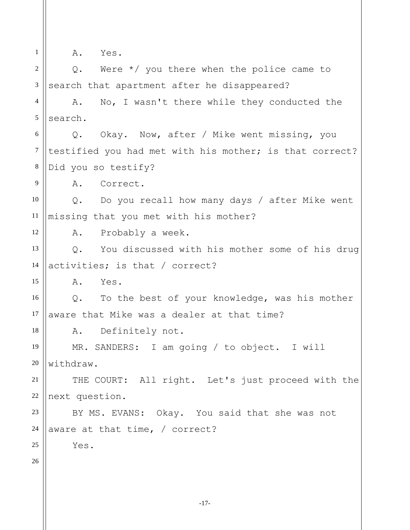1

9

12

15

18

A. Yes.

2 3 Q. Were \*/ you there when the police came to search that apartment after he disappeared?

4 5 A. No, I wasn't there while they conducted the search.

6 7 8 Q. Okay. Now, after / Mike went missing, you testified you had met with his mother; is that correct? Did you so testify?

A. Correct.

10 11 Q. Do you recall how many days / after Mike went missing that you met with his mother?

A. Probably a week.

13 14 Q. You discussed with his mother some of his drug activities; is that / correct?

A. Yes.

16 17 Q. To the best of your knowledge, was his mother aware that Mike was a dealer at that time?

A. Definitely not.

19 20 MR. SANDERS: I am going / to object. I will withdraw.

21 22 THE COURT: All right. Let's just proceed with the next question.

23 24 BY MS. EVANS: Okay. You said that she was not aware at that time, / correct?

Yes.

26

25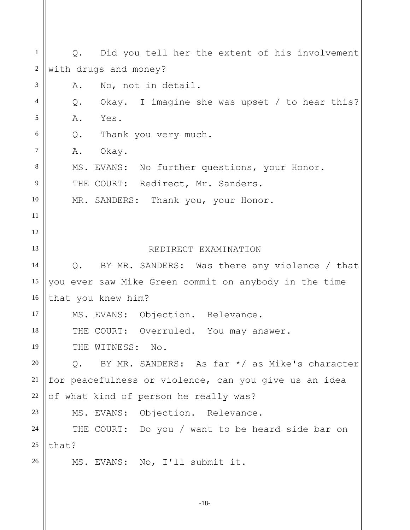| 1              |                                                        |
|----------------|--------------------------------------------------------|
|                | Q. Did you tell her the extent of his involvement      |
| $\overline{2}$ | with drugs and money?                                  |
| 3              | No, not in detail.<br>Α.                               |
| $\overline{4}$ | Okay. I imagine she was upset / to hear this?<br>$Q$ . |
| 5              | A. Yes.                                                |
| 6              | Q. Thank you very much.                                |
| $\tau$         | A. Okay.                                               |
| 8              | MS. EVANS: No further questions, your Honor.           |
| 9              | THE COURT: Redirect, Mr. Sanders.                      |
| 10             | MR. SANDERS: Thank you, your Honor.                    |
| 11             |                                                        |
| 12             |                                                        |
| 13             | REDIRECT EXAMINATION                                   |
| 14             | BY MR. SANDERS: Was there any violence / that<br>$Q$ . |
| 15             | you ever saw Mike Green commit on anybody in the time  |
| 16             | that you knew him?                                     |
| 17             | MS. EVANS: Objection. Relevance.                       |
| 18             | THE COURT: Overruled. You may answer.                  |
| 19             | THE WITNESS: No.                                       |
| 20             | BY MR. SANDERS: As far */ as Mike's character<br>$Q$ . |
| 21             | for peacefulness or violence, can you give us an idea  |
| 22             | of what kind of person he really was?                  |
| 23             | MS. EVANS: Objection. Relevance.                       |
| 24             | THE COURT: Do you / want to be heard side bar on       |
| 25             | that?                                                  |
| 26             | MS. EVANS: No, I'll submit it.                         |
|                |                                                        |
|                |                                                        |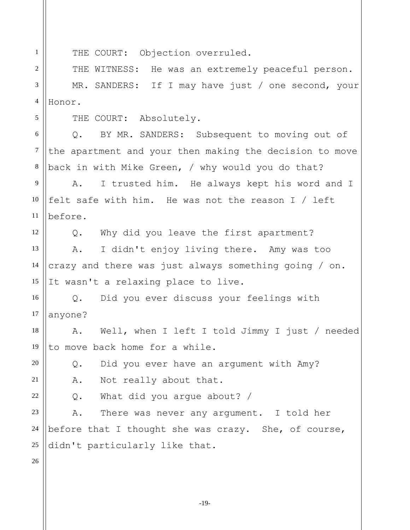1 2

5

6

7

8

12

THE COURT: Objection overruled.

3 4 THE WITNESS: He was an extremely peaceful person. MR. SANDERS: If I may have just / one second, your Honor.

THE COURT: Absolutely.

Q. BY MR. SANDERS: Subsequent to moving out of the apartment and your then making the decision to move back in with Mike Green, / why would you do that?

9 10 11 A. I trusted him. He always kept his word and I felt safe with him. He was not the reason I / left before.

Q. Why did you leave the first apartment?

13 14 15 A. I didn't enjoy living there. Amy was too crazy and there was just always something going / on. It wasn't a relaxing place to live.

16 17 Q. Did you ever discuss your feelings with anyone?

18 19 A. Well, when I left I told Jimmy I just / needed to move back home for a while.

Q. Did you ever have an argument with Amy?

A. Not really about that.

Q. What did you argue about? /

23 24 25 A. There was never any argument. I told her before that I thought she was crazy. She, of course, didn't particularly like that.

26

20

21

22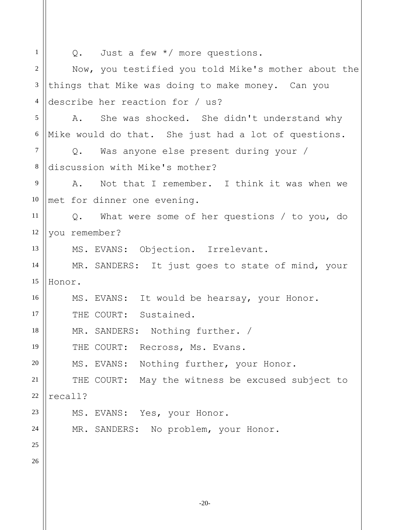| 1              | Q. Just a few $*/$ more questions.                   |
|----------------|------------------------------------------------------|
| 2              | Now, you testified you told Mike's mother about the  |
| 3              | things that Mike was doing to make money. Can you    |
| $\overline{4}$ | describe her reaction for / us?                      |
| 5              | A. She was shocked. She didn't understand why        |
| 6              | Mike would do that. She just had a lot of questions. |
| $\tau$         | Q. Was anyone else present during your /             |
| 8              | discussion with Mike's mother?                       |
| 9              | A. Not that I remember. I think it was when we       |
| 10             | met for dinner one evening.                          |
| 11             | Q. What were some of her questions / to you, do      |
| 12             | you remember?                                        |
| 13             | MS. EVANS: Objection. Irrelevant.                    |
| 14             | MR. SANDERS: It just goes to state of mind, your     |
| 15             | Honor.                                               |
| 16             | MS. EVANS: It would be hearsay, your Honor.          |
| 17             | THE COURT: Sustained.                                |
| 18             | MR. SANDERS: Nothing further. /                      |
| 19             | THE COURT: Recross, Ms. Evans.                       |
| 20             | MS. EVANS: Nothing further, your Honor.              |
| 21             | THE COURT: May the witness be excused subject to     |
| 22             | recall?                                              |
| 23             | MS. EVANS: Yes, your Honor.                          |
| 24             | MR. SANDERS: No problem, your Honor.                 |
| 25             |                                                      |
| 26             |                                                      |
|                |                                                      |
|                |                                                      |